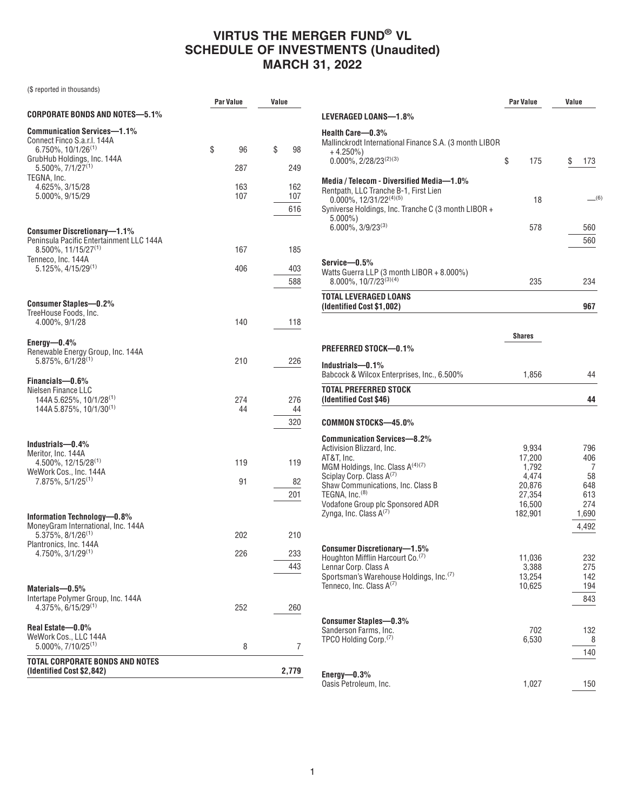|                                                                                            | <b>Par Value</b> | Value |                   |
|--------------------------------------------------------------------------------------------|------------------|-------|-------------------|
| CORPORATE BONDS AND NOTES—5.1%                                                             |                  |       |                   |
| Communication Services—1.1%<br>Connect Finco S.a.r.l. 144A<br>$6.750\%$ , $10/1/26^{(1)}$  | \$<br>96         | \$    | 98                |
| GrubHub Holdings, Inc. 144A<br>5.500%, 7/1/27(1)                                           | 287              |       | 249               |
| TEGNA, Inc.<br>4.625%, 3/15/28<br>5.000%, 9/15/29                                          | 163<br>107       |       | 162<br>107<br>616 |
| <b>Consumer Discretionary-1.1%</b><br>Peninsula Pacific Entertainment LLC 144A             |                  |       |                   |
| 8.500%, 11/15/27 <sup>(1)</sup><br>Tenneco, Inc. 144A                                      | 167              |       | 185               |
| 5.125%, 4/15/29(1)                                                                         | 406              |       | 403<br>588        |
| <b>Consumer Staples-0.2%</b><br>TreeHouse Foods, Inc.                                      |                  |       |                   |
| 4.000%, 9/1/28                                                                             | 140              |       | 118               |
| Energy-0.4%<br>Renewable Energy Group, Inc. 144A<br>$5.875\%$ , 6/1/28 <sup>(1)</sup>      | 210              |       | 226               |
| Financials-0.6%<br>Nielsen Finance LLC                                                     |                  |       |                   |
| 144A 5.625%, 10/1/28 <sup>(1)</sup><br>144A 5.875%, 10/1/30 <sup>(1)</sup>                 | 274<br>44        |       | 276<br>44<br>320  |
|                                                                                            |                  |       |                   |
| Industrials-0.4%<br>Meritor, Inc. 144A<br>$4.500\%$ , 12/15/28 <sup>(1)</sup>              | 119              |       | 119               |
| WeWork Cos., Inc. 144A                                                                     |                  |       |                   |
| 7.875%, 5/1/25 <sup>(1)</sup>                                                              | 91               |       | 82<br>201         |
| Information Technology—0.8%<br>MoneyGram International, Inc. 144A                          |                  |       |                   |
| 5.375%, 8/1/26 <sup>(1)</sup>                                                              | 202              |       | 210               |
| Plantronics, Inc. 144A<br>$4.750\%$ , $3/1/29^{(1)}$                                       | 226              |       | 233               |
|                                                                                            |                  |       | 443               |
| Materials—0.5%<br>Intertape Polymer Group, Inc. 144A<br>$4.375\%$ , 6/15/29 <sup>(1)</sup> | 252              |       | 260               |
|                                                                                            |                  |       |                   |
| Real Estate-0.0%<br>WeWork Cos., LLC 144A<br>5.000%, 7/10/25 <sup>(1)</sup>                | 8                |       | 7                 |
| <b>TOTAL CORPORATE BONDS AND NOTES</b><br>(Identified Cost \$2,842)                        |                  |       | 2,779             |

|                                                                                                                                                                                                                                                                                                             | Par Value                                                                  | Value                                                        |
|-------------------------------------------------------------------------------------------------------------------------------------------------------------------------------------------------------------------------------------------------------------------------------------------------------------|----------------------------------------------------------------------------|--------------------------------------------------------------|
| LEVERAGED LOANS—1.8%                                                                                                                                                                                                                                                                                        |                                                                            |                                                              |
| Health Care—0.3%<br>Mallinckrodt International Finance S.A. (3 month LIBOR<br>+4.250%)                                                                                                                                                                                                                      |                                                                            |                                                              |
| $0.000\%$ , 2/28/23 <sup>(2)(3)</sup>                                                                                                                                                                                                                                                                       | \$<br>175                                                                  | \$<br>173                                                    |
| Media / Telecom - Diversified Media—1.0%<br>Rentpath, LLC Tranche B-1, First Lien<br>$0.000\%$ , 12/31/22 <sup>(4)(5)</sup>                                                                                                                                                                                 | 18                                                                         | (6)                                                          |
| Syniverse Holdings, Inc. Tranche C (3 month LIBOR +                                                                                                                                                                                                                                                         |                                                                            |                                                              |
| $5.000\%$<br>$6.000\%$ , $3/9/23^{(3)}$                                                                                                                                                                                                                                                                     | 578                                                                        | 560<br>560                                                   |
| Service—0.5%<br>Watts Guerra LLP (3 month LIBOR + 8.000%)<br>$8.000\%$ , $10/7/23^{(3)(4)}$                                                                                                                                                                                                                 | 235                                                                        | 234                                                          |
| TOTAL LEVERAGED LOANS<br>(Identified Cost \$1,002)                                                                                                                                                                                                                                                          |                                                                            | 967                                                          |
|                                                                                                                                                                                                                                                                                                             | <b>Shares</b>                                                              |                                                              |
| PREFERRED STOCK—0.1%                                                                                                                                                                                                                                                                                        |                                                                            |                                                              |
| Industrials—0.1%<br>Babcock & Wilcox Enterprises, Inc., 6.500%                                                                                                                                                                                                                                              | 1,856                                                                      | 44                                                           |
| Total Preferred Stock<br>(Identified Cost \$46)                                                                                                                                                                                                                                                             |                                                                            | 44                                                           |
| COMMON STOCKS—45.0%                                                                                                                                                                                                                                                                                         |                                                                            |                                                              |
| Communication Services—8.2%<br>Activision Blizzard, Inc.<br>AT&T, Inc.<br>MGM Holdings, Inc. Class A <sup>(4)(7)</sup><br>Sciplay Corp. Class A <sup>(7)</sup><br>Shaw Communications, Inc. Class B<br>TEGNA, Inc. <sup>(8)</sup><br>Vodafone Group plc Sponsored ADR<br>Zynga, Inc. Class A <sup>(7)</sup> | 9,934<br>17,200<br>1,792<br>4,474<br>20,876<br>27,354<br>16,500<br>182,901 | 796<br>406<br>7<br>58<br>648<br>613<br>274<br>1,690<br>4.492 |
| Consumer Discretionary—1.5%<br>Houghton Mifflin Harcourt Co. <sup>(7)</sup><br>Lennar Corp. Class A<br>Sportsman's Warehouse Holdings, Inc. <sup>(7)</sup><br>Tenneco, Inc. Class A <sup>(7)</sup>                                                                                                          | 11,036<br>3,388<br>13,254<br>10,625                                        | 232<br>275<br>142<br>194<br>843                              |
| <b>Consumer Staples-0.3%</b><br>Sanderson Farms, Inc.<br>TPCO Holding Corp. <sup>(7)</sup>                                                                                                                                                                                                                  | 702<br>6,530                                                               | 132<br>8<br>140                                              |
| Energy- $-0.3\%$<br>Oasis Petroleum, Inc.                                                                                                                                                                                                                                                                   | 1,027                                                                      | 150                                                          |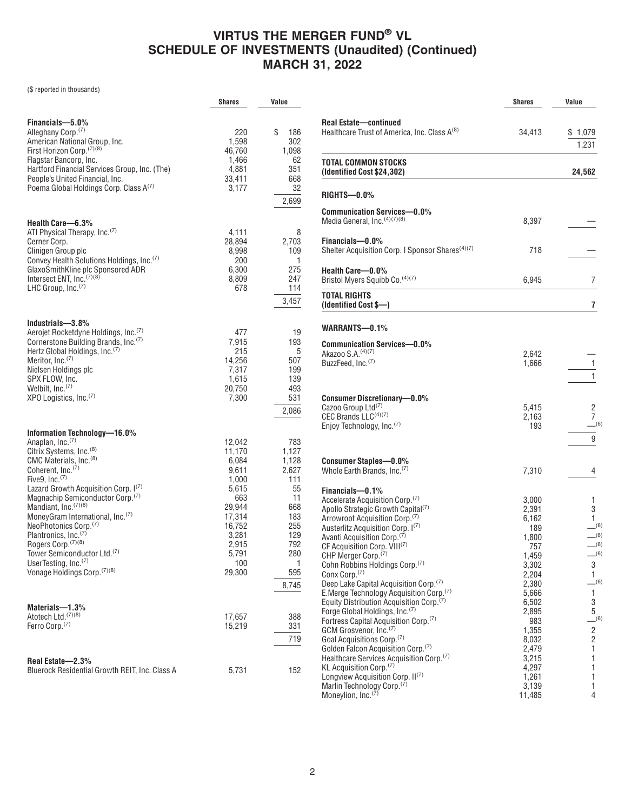|                                                                                                                                                                                                                                                                                                                                                                                                                                                                                                                                                                                 | <b>Shares</b>                                                                                                                         | Value                                                                                                                         |
|---------------------------------------------------------------------------------------------------------------------------------------------------------------------------------------------------------------------------------------------------------------------------------------------------------------------------------------------------------------------------------------------------------------------------------------------------------------------------------------------------------------------------------------------------------------------------------|---------------------------------------------------------------------------------------------------------------------------------------|-------------------------------------------------------------------------------------------------------------------------------|
| Financials-5.0%<br>Alleghany Corp. <sup>(7)</sup><br>American National Group, Inc.<br>First Horizon Corp. <sup>(7)(8)</sup><br>Flagstar Bancorp, Inc.<br>Hartford Financial Services Group, Inc. (The)<br>People's United Financial, Inc.<br>Poema Global Holdings Corp. Class A(7)                                                                                                                                                                                                                                                                                             | 220<br>1,598<br>46,760<br>1,466<br>4,881<br>33,411<br>3,177                                                                           | \$<br>186<br>302<br>1,098<br>62<br>351<br>668<br>32<br>2,699                                                                  |
| Health Care-6.3%<br>ATI Physical Therapy, Inc. <sup>(7)</sup><br>Cerner Corp.<br>Clinigen Group plc<br>Convey Health Solutions Holdings, Inc. <sup>(7)</sup><br>GlaxoSmithKline plc Sponsored ADR<br>Intersect ENT, Inc. <sup>(7)(8)</sup><br>LHC Group, Inc. <sup>(7)</sup>                                                                                                                                                                                                                                                                                                    | 4,111<br>28,894<br>8,998<br>200<br>6,300<br>8,809<br>678                                                                              | 8<br>2,703<br>109<br>1<br>275<br>247<br>114<br>3,457                                                                          |
| Industrials-3.8%<br>Aerojet Rocketdyne Holdings, Inc. <sup>(7)</sup><br>Cornerstone Building Brands, Inc. <sup>(7)</sup><br>Hertz Global Holdings, Inc. <sup>(7)</sup><br>Meritor, Inc. <sup>(7)</sup><br>Nielsen Holdings plc<br>SPX FLOW, Inc.<br>Welbilt, $Inc.(7)$<br>XPO Logistics, Inc. <sup>(7)</sup>                                                                                                                                                                                                                                                                    | 477<br>7,915<br>215<br>14,256<br>7,317<br>1,615<br>20,750<br>7,300                                                                    | 19<br>193<br>5<br>507<br>199<br>139<br>493<br>531<br>2,086                                                                    |
| Information Technology-16.0%<br>Anaplan, Inc. <sup>(7)</sup><br>Citrix Systems, Inc. <sup>(8)</sup><br>CMC Materials, Inc. <sup>(8)</sup><br>Coherent, Inc. <sup>(7)</sup><br>Five9, Inc. $(7)$<br>Lazard Growth Acquisition Corp. I(7)<br>Magnachip Semiconductor Corp. <sup>(7)</sup><br>Mandiant, Inc. (7)(8)<br>MoneyGram International, Inc. <sup>(7)</sup><br>NeoPhotonics Corp. <sup>(7)</sup><br>Plantronics, Inc. <sup>(7)</sup><br>Rogers Corp. (7)(8)<br>Tower Semiconductor Ltd. <sup>(7)</sup><br>UserTesting, Inc. <sup>(7)</sup><br>Vonage Holdings Corp. (7)(8) | 12,042<br>11,170<br>6,084<br>9,611<br>1,000<br>5,615<br>663<br>29,944<br>17,314<br>16,752<br>3,281<br>2,915<br>5,791<br>100<br>29,300 | 783<br>1,127<br>1,128<br>2,627<br>111<br>55<br>11<br>668<br>183<br>255<br>129<br>792<br>280<br>$\overline{1}$<br>595<br>8,745 |
| Materials-1.3%<br>Atotech Ltd. <sup>(7)(8)</sup><br>Ferro Corp. <sup>(7)</sup>                                                                                                                                                                                                                                                                                                                                                                                                                                                                                                  | 17,657<br>15,219                                                                                                                      | 388<br>331<br>719                                                                                                             |
| Real Estate-2.3%<br>Bluerock Residential Growth REIT, Inc. Class A                                                                                                                                                                                                                                                                                                                                                                                                                                                                                                              | 5,731                                                                                                                                 | 152                                                                                                                           |

|                                                                                                                                                                                                                                                                                                                                                                                                                                                                                                                                                                                                                                                                                                                                                                                                                                                                                                                                                                                                                                   | <b>Shares</b>                                                                                                                                                                       | Value                                                                                                                   |
|-----------------------------------------------------------------------------------------------------------------------------------------------------------------------------------------------------------------------------------------------------------------------------------------------------------------------------------------------------------------------------------------------------------------------------------------------------------------------------------------------------------------------------------------------------------------------------------------------------------------------------------------------------------------------------------------------------------------------------------------------------------------------------------------------------------------------------------------------------------------------------------------------------------------------------------------------------------------------------------------------------------------------------------|-------------------------------------------------------------------------------------------------------------------------------------------------------------------------------------|-------------------------------------------------------------------------------------------------------------------------|
| <b>Real Estate-continued</b><br>Healthcare Trust of America, Inc. Class A <sup>(8)</sup>                                                                                                                                                                                                                                                                                                                                                                                                                                                                                                                                                                                                                                                                                                                                                                                                                                                                                                                                          | 34,413                                                                                                                                                                              | \$1,079<br>1,231                                                                                                        |
| TOTAL COMMON STOCKS<br>(Identified Cost \$24,302)                                                                                                                                                                                                                                                                                                                                                                                                                                                                                                                                                                                                                                                                                                                                                                                                                                                                                                                                                                                 |                                                                                                                                                                                     | 24,562                                                                                                                  |
| $RIGHTS$ — $0.0\%$                                                                                                                                                                                                                                                                                                                                                                                                                                                                                                                                                                                                                                                                                                                                                                                                                                                                                                                                                                                                                |                                                                                                                                                                                     |                                                                                                                         |
| <b>Communication Services-0.0%</b><br>Media General, Inc. (4)(7)(8)                                                                                                                                                                                                                                                                                                                                                                                                                                                                                                                                                                                                                                                                                                                                                                                                                                                                                                                                                               | 8,397                                                                                                                                                                               |                                                                                                                         |
| Financials-0.0%<br>Shelter Acquisition Corp. I Sponsor Shares <sup>(4)(7)</sup>                                                                                                                                                                                                                                                                                                                                                                                                                                                                                                                                                                                                                                                                                                                                                                                                                                                                                                                                                   | 718                                                                                                                                                                                 |                                                                                                                         |
| Health Care-0.0%<br>Bristol Myers Squibb Co. (4)(7)                                                                                                                                                                                                                                                                                                                                                                                                                                                                                                                                                                                                                                                                                                                                                                                                                                                                                                                                                                               | 6,945                                                                                                                                                                               | 7                                                                                                                       |
| <b>TOTAL RIGHTS</b><br>(Identified Cost \$-)                                                                                                                                                                                                                                                                                                                                                                                                                                                                                                                                                                                                                                                                                                                                                                                                                                                                                                                                                                                      |                                                                                                                                                                                     | 7                                                                                                                       |
| WARRANTS-0.1%                                                                                                                                                                                                                                                                                                                                                                                                                                                                                                                                                                                                                                                                                                                                                                                                                                                                                                                                                                                                                     |                                                                                                                                                                                     |                                                                                                                         |
| <b>Communication Services-0.0%</b><br>Akazoo S.A. (4)(7)<br>BuzzFeed. Inc. <sup>(7)</sup>                                                                                                                                                                                                                                                                                                                                                                                                                                                                                                                                                                                                                                                                                                                                                                                                                                                                                                                                         | 2,642<br>1,666                                                                                                                                                                      | 1<br>1                                                                                                                  |
| <b>Consumer Discretionary-0.0%</b><br>Cazoo Group Ltd <sup>(7)</sup><br>CEC Brands LLC(4)(7)<br>Enjoy Technology, Inc. <sup>(7)</sup>                                                                                                                                                                                                                                                                                                                                                                                                                                                                                                                                                                                                                                                                                                                                                                                                                                                                                             | 5,415<br>2,163<br>193                                                                                                                                                               | 2<br>7<br>(6)<br>9                                                                                                      |
| <b>Consumer Staples-0.0%</b><br>Whole Earth Brands, Inc. <sup>(7)</sup>                                                                                                                                                                                                                                                                                                                                                                                                                                                                                                                                                                                                                                                                                                                                                                                                                                                                                                                                                           | 7,310                                                                                                                                                                               | 4                                                                                                                       |
| Financials-0.1%<br>Accelerate Acquisition Corp. <sup>(7)</sup><br>Apollo Strategic Growth Capital <sup>(7)</sup><br>Arrowroot Acquisition Corp. <sup>(7)</sup><br>Austerlitz Acquisition Corp. 1(7)<br>Avanti Acquisition Corp. <sup>(7)</sup><br>CF Acquisition Corp. VIII <sup>(7)</sup><br>CHP Merger Corp. <sup>(7)</sup><br>Cohn Robbins Holdings Corp. <sup>(7)</sup><br>Conx Corp. <sup>(7)</sup><br>Deep Lake Capital Acquisition Corp. <sup>(7)</sup><br>E.Merge Technology Acquisition Corp. <sup>(7)</sup><br>Equity Distribution Acquisition Corp. <sup>(7)</sup><br>Forge Global Holdings, Inc. <sup>(7)</sup><br>Fortress Capital Acquisition Corp. <sup>(7)</sup><br>GCM Grosvenor, Inc. <sup>(7)</sup><br>Goal Acquisitions Corp. <sup>(7)</sup><br>Golden Falcon Acquisition Corp. <sup>(7)</sup><br>Healthcare Services Acquisition Corp. <sup>(7)</sup><br>KL Acquisition Corp. <sup>(7)</sup><br>Longview Acquisition Corp. II(7)<br>Marlin Technology Corp. <sup>(7)</sup><br>Moneylion, Inc. <sup>(7)</sup> | 3,000<br>2,391<br>6,162<br>189<br>1,800<br>757<br>1,459<br>3,302<br>2,204<br>2,380<br>5,666<br>6,502<br>2,895<br>983<br>1,355<br>8,032<br>2,479<br>3,215<br>4,297<br>1,261<br>3,139 | 1<br>3<br>1<br>$-^{(6)}$<br>(6)<br>(6)<br>(6)<br>3<br>1<br>(6)<br>1<br>3<br>5<br>(6)<br>2<br>2<br>1<br>1<br>1<br>1<br>1 |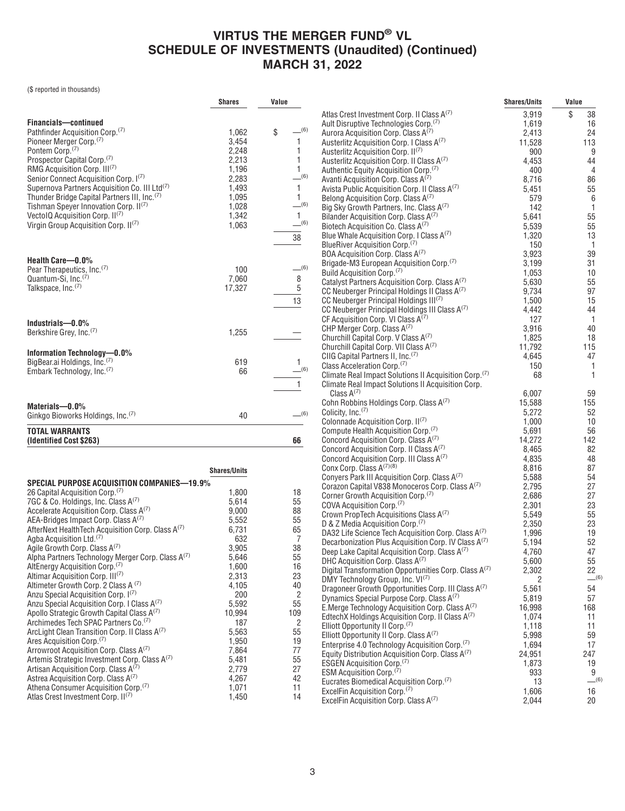|                                                               | <b>Shares</b>       | Value           |                                                                                                         | <b>Shares/Units</b> | Value          |
|---------------------------------------------------------------|---------------------|-----------------|---------------------------------------------------------------------------------------------------------|---------------------|----------------|
|                                                               |                     |                 | Atlas Crest Investment Corp. II Class A(7)                                                              | 3,919               | \$<br>38       |
| Financials-continued                                          |                     |                 | Ault Disruptive Technologies Corp. <sup>(7)</sup>                                                       | 1,619               | 16             |
| Pathfinder Acquisition Corp. <sup>(7)</sup>                   | 1,062               | $-^{(6)}$<br>\$ | Aurora Acquisition Corp. Class A <sup>(7)</sup>                                                         | 2,413               | 24             |
| Pioneer Merger Corp. <sup>(7)</sup>                           | 3,454               | 1               | Austerlitz Acquisition Corp. I Class A <sup>(7)</sup>                                                   | 11,528              | 113            |
| Pontem Corp. <sup>(7)</sup>                                   | 2,248               | 1               | Austerlitz Acquisition Corp. II <sup>(7)</sup>                                                          | 900                 | 9              |
| Prospector Capital Corp. <sup>(7)</sup>                       | 2,213               | 1               | Austerlitz Acquisition Corp. II Class A <sup>(7)</sup>                                                  | 4,453               | 44             |
| RMG Acquisition Corp. III <sup>(7)</sup>                      | 1,196               | $\mathbf{1}$    | Authentic Equity Acquisition Corp. <sup>(7)</sup>                                                       | 400                 | $\overline{4}$ |
| Senior Connect Acquisition Corp. 1(7)                         | 2,283               | $-^{(6)}$       | Avanti Acquisition Corp. Class A(7)                                                                     | 8,716               | 86             |
| Supernova Partners Acquisition Co. III Ltd <sup>(7)</sup>     | 1,493               | $\mathbf{1}$    | Avista Public Acquisition Corp. II Class A <sup>(7)</sup>                                               | 5,451               | 55             |
| Thunder Bridge Capital Partners III, Inc. <sup>(7)</sup>      | 1,095               | $\mathbf{1}$    | Belong Acquisition Corp. Class A(7)                                                                     | 579                 | $\,6\,$        |
| Tishman Speyer Innovation Corp. II <sup>(7)</sup>             | 1,028               | $-^{(6)}$       | Big Sky Growth Partners, Inc. Class A(7)                                                                | 142                 | $\overline{1}$ |
| VectolQ Acquisition Corp. II(7)                               | 1,342               | $\mathbf{1}$    | Bilander Acquisition Corp. Class A <sup>(7)</sup>                                                       | 5,641               | 55             |
| Virgin Group Acquisition Corp. II <sup>(7)</sup>              | 1,063               | $-^{(6)}$       | Biotech Acquisition Co. Class A(7)                                                                      | 5,539               | 55             |
|                                                               |                     | 38              | Blue Whale Acquisition Corp. I Class A(7)                                                               | 1,320               | 13             |
|                                                               |                     |                 | BlueRiver Acquisition Corp. <sup>(7)</sup>                                                              | 150                 | $\overline{1}$ |
|                                                               |                     |                 | BOA Acquisition Corp. Class A <sup>(7)</sup>                                                            | 3,923               | 39             |
| Health Care-0.0%                                              |                     | $-^{(6)}$       | Brigade-M3 European Acquisition Corp. <sup>(7)</sup>                                                    | 3,199               | 31             |
| Pear Therapeutics, Inc. <sup>(7)</sup>                        | 100                 |                 | Build Acquisition Corp. <sup>(7)</sup>                                                                  | 1,053               | 10             |
| Quantum-Si, Inc. <sup>(7)</sup>                               | 7,060               | 8               | Catalyst Partners Acquisition Corp. Class A(7)                                                          | 5,630               | 55             |
| Talkspace, Inc. <sup>(7)</sup>                                | 17,327              | $\sqrt{5}$      | CC Neuberger Principal Holdings II Class A <sup>(7)</sup>                                               | 9,734               | 97             |
|                                                               |                     | 13              | CC Neuberger Principal Holdings III <sup>(7)</sup>                                                      | 1,500               | 15             |
|                                                               |                     |                 | CC Neuberger Principal Holdings III Class A(7)                                                          | 4,442               | 44             |
| Industrials-0.0%                                              |                     |                 | CF Acquisition Corp. VI Class $A^{(7)}$                                                                 | 127                 | $\overline{1}$ |
| Berkshire Grey, Inc. <sup>(7)</sup>                           | 1,255               |                 | CHP Merger Corp. Class A <sup>(7)</sup>                                                                 | 3,916               | 40             |
|                                                               |                     |                 | Churchill Capital Corp. V Class A <sup>(7)</sup>                                                        | 1,825               | 18             |
| Information Technology-0.0%                                   |                     |                 | Churchill Capital Corp. VII Class A(7)                                                                  | 11,792              | 115            |
| BigBear.ai Holdings, Inc. <sup>(7)</sup>                      | 619                 | $\mathbf{1}$    | CIIG Capital Partners II, Inc. <sup>(7)</sup>                                                           | 4,645               | 47             |
| Embark Technology, Inc. <sup>(7)</sup>                        | 66                  | (6)             | Class Acceleration Corp. <sup>(7)</sup>                                                                 | 150                 | $\overline{1}$ |
|                                                               |                     |                 | Climate Real Impact Solutions II Acquisition Corp. <sup>(7)</sup>                                       | 68                  | $\mathbf{1}$   |
|                                                               |                     | $\mathbf{1}$    | Climate Real Impact Solutions II Acquisition Corp.                                                      |                     |                |
|                                                               |                     |                 | Class $A^{(7)}$                                                                                         | 6,007               | 59             |
| Materials-0.0%                                                |                     |                 | Cohn Robbins Holdings Corp. Class A <sup>(7)</sup>                                                      | 15,588              | 155            |
| Ginkgo Bioworks Holdings, Inc. <sup>(7)</sup>                 | 40                  | $-^{(6)}$       | Colicity, Inc. <sup>(7)</sup>                                                                           | 5,272               | 52             |
|                                                               |                     |                 | Colonnade Acquisition Corp. II <sup>(7)</sup>                                                           | 1,000               | 10             |
| <b>TOTAL WARRANTS</b>                                         |                     |                 | Compute Health Acquisition Corp. <sup>(7)</sup>                                                         | 5,691               | 56             |
| (Identified Cost \$263)                                       |                     | 66              | Concord Acquisition Corp. Class A <sup>(7)</sup><br>Concord Acquisition Corp. II Class A <sup>(7)</sup> | 14,272<br>8,465     | 142<br>82      |
|                                                               |                     |                 | Concord Acquisition Corp. III Class A(7)                                                                | 4,835               | 48             |
|                                                               |                     |                 | Conx Corp. Class A(7)(8)                                                                                | 8,816               | 87             |
|                                                               | <b>Shares/Units</b> |                 | Convers Park III Acquisition Corp. Class A <sup>(7)</sup>                                               | 5,588               | 54             |
| <b>SPECIAL PURPOSE ACQUISITION COMPANIES-19.9%</b>            |                     |                 | Corazon Capital V838 Monoceros Corp. Class A(7)                                                         | 2,795               | 27             |
| 26 Capital Acquisition Corp. <sup>(7)</sup>                   | 1,800               | 18              | Corner Growth Acquisition Corp. <sup>(7)</sup>                                                          | 2,686               | 27             |
| 7GC & Co. Holdings, Inc. Class A(7)                           | 5,614               | 55              | COVA Acquisition Corp. (7)                                                                              | 2,301               | 23             |
| Accelerate Acquisition Corp. Class A(7)                       | 9,000               | 88              | Crown PropTech Acquisitions Class A(7)                                                                  | 5,549               | 55             |
| AEA-Bridges Impact Corp. Class A(7)                           | 5,552               | 55              | D & Z Media Acquisition Corp. <sup>(7)</sup>                                                            | 2,350               | 23             |
| AfterNext HealthTech Acquisition Corp. Class A(7)             | 6,731               | 65              | DA32 Life Science Tech Acquisition Corp. Class A(7)                                                     | 1,996               | 19             |
| Agba Acquisition Ltd. <sup>(7)</sup>                          | 632                 | $\overline{7}$  | Decarbonization Plus Acquisition Corp. IV Class A(7)                                                    | 5,194               | 52             |
| Agile Growth Corp. Class A(7)                                 | 3,905               | 38              | Deep Lake Capital Acquisition Corp. Class A(7)                                                          | 4,760               | 47             |
| Alpha Partners Technology Merger Corp. Class A <sup>(7)</sup> | 5,646               | 55              | DHC Acquisition Corp. Class A(7)                                                                        | 5,600               | 55             |
| AltEnergy Acquisition Corp. <sup>(7)</sup>                    | 1,600               | 16              | Digital Transformation Opportunities Corp. Class A(7)                                                   | 2,302               | 22             |
| Altimar Acquisition Corp. III <sup>(7)</sup>                  | 2,313               | 23              | DMY Technology Group, Inc. VI(7)                                                                        | 2                   | $-^{(6)}$      |
| Altimeter Growth Corp. 2 Class A (7)                          | 4,105               | 40              | Dragoneer Growth Opportunities Corp. III Class A(7)                                                     | 5,561               | 54             |
| Anzu Special Acquisition Corp. I(7)                           | 200                 | $\overline{c}$  | Dynamics Special Purpose Corp. Class A(7)                                                               | 5,819               | 57             |
| Anzu Special Acquisition Corp. I Class A(7)                   | 5,592               | 55              | E. Merge Technology Acquisition Corp. Class $A^{(7)}$                                                   | 16,998              | 168            |
| Apollo Strategic Growth Capital Class A <sup>(7)</sup>        | 10,994              | 109             | EdtechX Holdings Acquisition Corp. II Class $A^{(7)}$                                                   | 1,074               | 11             |
| Archimedes Tech SPAC Partners Co. <sup>(7)</sup>              | 187                 | $\overline{2}$  | Elliott Opportunity II Corp. <sup>(7)</sup>                                                             | 1,118               | 11             |
| ArcLight Clean Transition Corp. II Class A <sup>(7)</sup>     | 5,563               | 55              | Elliott Opportunity II Corp. Class A <sup>(7)</sup>                                                     | 5,998               | 59             |
| Ares Acquisition Corp. <sup>(7)</sup>                         | 1,950               | 19              | Enterprise 4.0 Technology Acquisition Corp. <sup>(7)</sup>                                              | 1,694               | 17             |
| Arrowroot Acquisition Corp. Class A(7)                        | 7,864               | 77              | Equity Distribution Acquisition Corp. Class $A^{(7)}$                                                   | 24,951              | 247            |
| Artemis Strategic Investment Corp. Class A(7)                 | 5,481               | 55              | <b>ESGEN Acquisition Corp.</b> <sup>(7)</sup>                                                           | 1,873               | 19             |
| Artisan Acquisition Corp. Class A(7)                          | 2,779               | 27              | ESM Acquisition Corp. (7)                                                                               | 933                 | 9              |
| Astrea Acquisition Corp. Class A(7)                           | 4,267               | 42              | Eucrates Biomedical Acquisition Corp. <sup>(7)</sup>                                                    | 13                  | (6)            |
| Athena Consumer Acquisition Corp. <sup>(7)</sup>              | 1,071               | 11              | ExcelFin Acquisition Corp. <sup>(7)</sup>                                                               | 1,606               | 16             |
| Atlas Crest Investment Corp. II(7)                            | 1,450               | 14              | ExcelFin Acquisition Corp. Class A(7)                                                                   | 2,044               | 20             |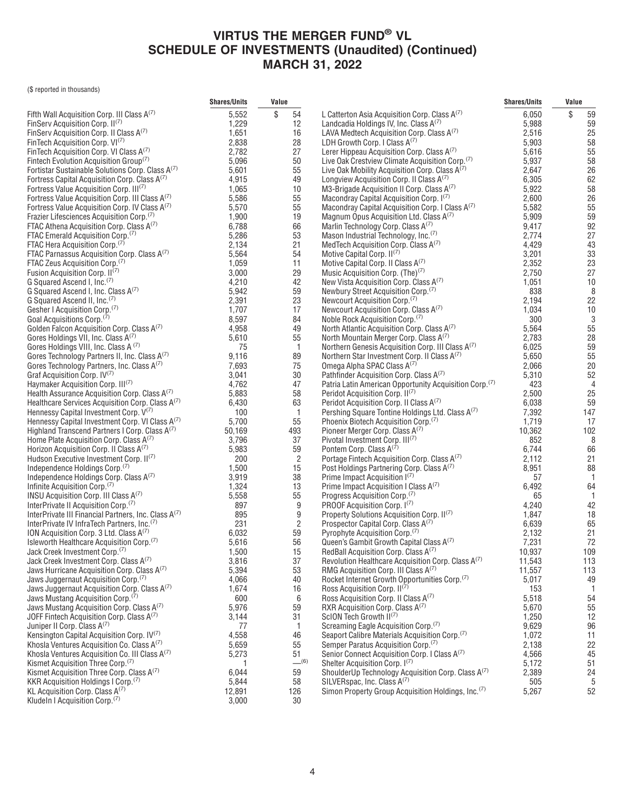|                                                                                            | <b>Shares/Units</b> | Value |                |                                                                                                    | <b>Shares/Units</b> | Value |                |
|--------------------------------------------------------------------------------------------|---------------------|-------|----------------|----------------------------------------------------------------------------------------------------|---------------------|-------|----------------|
| Fifth Wall Acquisition Corp. III Class $A^{(7)}$                                           | 5,552               | \$    | 54             | L Catterton Asia Acquisition Corp. Class A(7)                                                      | 6,050               | \$    | 59             |
| FinServ Acquisition Corp. II(7)                                                            | 1,229               |       | 12             | Landcadia Holdings IV, Inc. Class A <sup>(7)</sup>                                                 | 5,988               |       | 59             |
| FinServ Acquisition Corp. II Class A(7)                                                    | 1,651               |       | 16             | LAVA Medtech Acquisition Corp. Class A(7)                                                          | 2,516               |       | 25             |
| FinTech Acquisition Corp. VI <sup>(7)</sup>                                                | 2,838               |       | 28             | LDH Growth Corp. I Class $A^{(7)}$                                                                 | 5,903               |       | 58             |
| FinTech Acquisition Corp. VI Class A(7)                                                    | 2,782               |       | 27             | Lerer Hippeau Acquisition Corp. Class A(7)                                                         | 5,616               |       | 55             |
| Fintech Evolution Acquisition Group <sup>(7)</sup>                                         | 5,096               |       | 50             | Live Oak Crestview Climate Acquisition Corp. <sup>(7)</sup>                                        | 5,937               |       | 58             |
| Fortistar Sustainable Solutions Corp. Class A(7)                                           | 5,601               |       | 55             | Live Oak Mobility Acquisition Corp. Class $A^{(7)}$                                                | 2,647               |       | 26             |
| Fortress Capital Acquisition Corp. Class A(7)                                              | 4,915               |       | 49             | Longview Acquisition Corp. II Class A <sup>(7)</sup>                                               | 6,305               |       | 62             |
| Fortress Value Acquisition Corp. III(7)                                                    | 1,065               |       | 10             | M3-Brigade Acquisition II Corp. Class A(7)                                                         | 5,922               |       | 58             |
| Fortress Value Acquisition Corp. III Class A(7)                                            | 5,586               |       | 55             | Macondray Capital Acquisition Corp. I(7)                                                           | 2,600               |       | 26             |
| Fortress Value Acquisition Corp. IV Class A(7)                                             | 5,570               |       | 55             | Macondray Capital Acquisition Corp. I Class A(7)                                                   | 5,582               |       | 55             |
| Frazier Lifesciences Acquisition Corp. <sup>(7)</sup>                                      | 1,900<br>6,788      |       | 19             | Magnum Opus Acquisition Ltd. Class A(7)                                                            | 5,909               |       | 59<br>92       |
| FTAC Athena Acquisition Corp. Class A(7)<br>FTAC Emerald Acquisition Corp. <sup>(7)</sup>  | 5,286               |       | 66<br>53       | Marlin Technology Corp. Class A <sup>(7)</sup><br>Mason Industrial Technology, Inc. <sup>(7)</sup> | 9,417<br>2,774      |       | 27             |
| FTAC Hera Acquisition Corp. <sup>(7)</sup>                                                 | 2,134               |       | 21             | MedTech Acquisition Corp. Class A <sup>(7)</sup>                                                   | 4,429               |       | 43             |
| FTAC Parnassus Acquisition Corp. Class A(7)                                                | 5,564               |       | 54             | Motive Capital Corp. $II^{(7)}$                                                                    | 3,201               |       | 33             |
| FTAC Zeus Acquisition Corp. <sup>(7)</sup>                                                 | 1,059               |       | 11             | Motive Capital Corp. II Class A(7)                                                                 | 2,352               |       | 23             |
| Fusion Acquisition Corp. II <sup>(7)</sup>                                                 | 3,000               |       | 29             | Music Acquisition Corp. $(Thei)^{(7)}$                                                             | 2,750               |       | 27             |
| G Squared Ascend I, Inc. <sup>(7)</sup>                                                    | 4,210               |       | 42             | New Vista Acquisition Corp. Class A(7)                                                             | 1,051               |       | $10$           |
| G Squared Ascend I, Inc. Class A(7)                                                        | 5,942               |       | 59             | Newbury Street Acquisition Corp. <sup>(7)</sup>                                                    | 838                 |       | 8              |
| G Squared Ascend II, Inc. <sup>(7)</sup>                                                   | 2,391               |       | 23             | Newcourt Acquisition Corp. <sup>(7)</sup>                                                          | 2,194               |       | 22             |
| Gesher I Acquisition Corp. <sup>(7)</sup>                                                  | 1,707               |       | 17             | Newcourt Acquisition Corp. Class A <sup>(7)</sup>                                                  | 1,034               |       | $10$           |
| Goal Acquisitions Corp. <sup>(7)</sup>                                                     | 8,597               |       | 84             | Noble Rock Acquisition Corp. <sup>(7)</sup>                                                        | 300                 |       | 3              |
| Golden Falcon Acquisition Corp. Class A <sup>(7)</sup>                                     | 4,958               |       | 49             | North Atlantic Acquisition Corp. Class A <sup>(7)</sup>                                            | 5,564               |       | 55             |
| Gores Holdings VII, Inc. Class A <sup>(7)</sup>                                            | 5,610               |       | 55             | North Mountain Merger Corp. Class A <sup>(7)</sup>                                                 | 2,783               |       | 28             |
| Gores Holdings VIII, Inc. Class A (7)                                                      | 75                  |       | $\overline{1}$ | Northern Genesis Acquisition Corp. III Class A(7)                                                  | 6,025               |       | 59             |
| Gores Technology Partners II, Inc. Class A(7)                                              | 9,116               |       | 89             | Northern Star Investment Corp. II Class A(1)                                                       | 5,650               |       | 55             |
| Gores Technology Partners, Inc. Class A <sup>(7)</sup>                                     | 7,693               |       | 75             | Omega Alpha SPAC Class A(7)                                                                        | 2,066               |       | 20             |
| Graf Acquisition Corp. IV <sup>(7)</sup>                                                   | 3,041               |       | 30             | Pathfinder Acquisition Corp. Class A(7)                                                            | 5,310               |       | 52             |
| Haymaker Acquisition Corp. III <sup>(7)</sup>                                              | 4,762               |       | 47             | Patria Latin American Opportunity Acquisition Corp. <sup>(7)</sup>                                 | 423                 |       | $\overline{4}$ |
| Health Assurance Acquisition Corp. Class A <sup>(7)</sup>                                  | 5,883               |       | 58             | Peridot Acquisition Corp. II <sup>(7)</sup>                                                        | 2,500               |       | 25             |
| Healthcare Services Acquisition Corp. Class A <sup>(7)</sup>                               | 6,430               |       | 63             | Peridot Acquisition Corp. II Class A(7)                                                            | 6,038               |       | 59             |
| Hennessy Capital Investment Corp. V(7)<br>Hennessy Capital Investment Corp. VI Class A(7)  | 100<br>5,700        |       | $\overline{1}$ | Pershing Square Tontine Holdings Ltd. Class A <sup>(7)</sup>                                       | 7,392<br>1,719      |       | 147<br>17      |
| Highland Transcend Partners I Corp. Class A <sup>(7)</sup>                                 | 50,169              |       | 55<br>493      | Phoenix Biotech Acquisition Corp. <sup>(7)</sup><br>Pioneer Merger Corp. Class A <sup>(7)</sup>    | 10,362              |       | 102            |
| Home Plate Acquisition Corp. Class $A^{(7)}$                                               | 3,796               |       | 37             | Pivotal Investment Corp. III <sup>(7)</sup>                                                        | 852                 |       | 8              |
| Horizon Acquisition Corp. II Class A <sup>(7)</sup>                                        | 5,983               |       | 59             | Pontem Corp. Class A <sup>(7)</sup>                                                                | 6,744               |       | 66             |
| Hudson Executive Investment Corp. II <sup>(7)</sup>                                        | 200                 |       | $\overline{2}$ | Portage Fintech Acquisition Corp. Class A(7)                                                       | 2,112               |       | 21             |
| Independence Holdings Corp. <sup>(7)</sup>                                                 | 1,500               |       | 15             | Post Holdings Partnering Corp. Class A <sup>(7)</sup>                                              | 8,951               |       | 88             |
| Independence Holdings Corp. Class A(7)                                                     | 3,919               |       | 38             | Prime Impact Acquisition $I^{(7)}$                                                                 | 57                  |       | -1             |
| Infinite Acquisition Corp. <sup>(7)</sup>                                                  | 1,324               |       | 13             | Prime Impact Acquisition I Class $A^{(7)}$                                                         | 6,492               |       | 64             |
| INSU Acquisition Corp. III Class A(7)                                                      | 5,558               |       | 55             | Progress Acquisition Corp. <sup>(7)</sup>                                                          | 65                  |       | -1             |
| InterPrivate II Acquisition Corp. <sup>(7)</sup>                                           | 897                 |       | 9              | PROOF Acquisition Corp. I(7)                                                                       | 4,240               |       | 42             |
| InterPrivate III Financial Partners, Inc. Class A(7)                                       | 895                 |       | 9              | Property Solutions Acquisition Corp. II(7)                                                         | 1,847               |       | 18             |
| InterPrivate IV InfraTech Partners, Inc. <sup>(7)</sup>                                    | 231                 |       | $\overline{2}$ | Prospector Capital Corp. Class A <sup>(7)</sup>                                                    | 6,639               |       | 65             |
| ION Acquisition Corp. 3 Ltd. Class A(7)                                                    | 6,032               |       | 59             | Pyrophyte Acquisition Corp. <sup>(7)</sup>                                                         | 2,132               |       | 21             |
| Isleworth Healthcare Acquisition Corp. <sup>(7)</sup>                                      | 5,616               |       | 56             | Queen's Gambit Growth Capital Class A(7)                                                           | 7,231               |       | 72             |
| Jack Creek Investment Corp.(7)                                                             | 1,500               |       | 15             | RedBall Acquisition Corp. Class A(7)                                                               | 10.937              |       | 109            |
| Jack Creek Investment Corp. Class A(7)                                                     | 3,816               |       | 37             | Revolution Healthcare Acquisition Corp. Class A(7)                                                 | 11,543              |       | 113            |
| Jaws Hurricane Acquisition Corp. Class A(7)                                                | 5,394               |       | 53             | RMG Acquisition Corp. III Class A(7)                                                               | 11,557              |       | 113            |
| Jaws Juggernaut Acquisition Corp. <sup>(7)</sup>                                           | 4,066               |       | 40             | Rocket Internet Growth Opportunities Corp. <sup>(7)</sup>                                          | 5,017               |       | 49             |
| Jaws Juggernaut Acquisition Corp. Class A(7)                                               | 1,674               |       | 16             | Ross Acquisition Corp. II <sup>(7)</sup>                                                           | 153                 |       |                |
| Jaws Mustang Acquisition Corp. <sup>(7)</sup><br>Jaws Mustang Acquisition Corp. Class A(7) | 600<br>5,976        |       | 6<br>59        | Ross Acquisition Corp. II Class A(7)<br>RXR Acquisition Corp. Class A <sup>(7)</sup>               | 5,518<br>5,670      |       | 54<br>55       |
| JOFF Fintech Acquisition Corp. Class $A^{(7)}$                                             | 3,144               |       | 31             | ScION Tech Growth II <sup>(7)</sup>                                                                | 1,250               |       | 12             |
| Juniper II Corp. Class A <sup>(7)</sup>                                                    | 77                  |       | 1              | Screaming Eagle Acquisition Corp. <sup>(7)</sup>                                                   | 9,629               |       | 96             |
| Kensington Capital Acquisition Corp. IV <sup>(7)</sup>                                     | 4,558               |       | 46             | Seaport Calibre Materials Acquisition Corp. <sup>(7)</sup>                                         | 1,072               |       | 11             |
| Khosla Ventures Acquisition Co. Class A(7)                                                 | 5,659               |       | 55             | Semper Paratus Acquisition Corp. <sup>(7)</sup>                                                    | 2,138               |       | 22             |
| Khosla Ventures Acquisition Co. III Class $A^{(7)}$                                        | 5,273               |       | 51             | Senior Connect Acquisition Corp. I Class A(7)                                                      | 4,566               |       | 45             |
| Kismet Acquisition Three Corp. <sup>(7)</sup>                                              | 1                   |       | $-^{(6)}$      | Shelter Acquisition Corp. I(7)                                                                     | 5,172               |       | 51             |
| Kismet Acquisition Three Corp. Class A(7)                                                  | 6,044               |       | 59             | ShoulderUp Technology Acquisition Corp. Class A <sup>(7)</sup>                                     | 2,389               |       | 24             |
| KKR Acquisition Holdings I Corp. <sup>(7)</sup>                                            | 5,844               |       | 58             | SILVERspac, Inc. Class A(7)                                                                        | 505                 |       | 5              |
| KL Acquisition Corp. Class $A^{(7)}$                                                       | 12,891              |       | 126            | Simon Property Group Acquisition Holdings, Inc. <sup>(7)</sup>                                     | 5,267               |       | 52             |
| Kludeln I Acquisition Corp. <sup>(7)</sup>                                                 | 3,000               |       | 30             |                                                                                                    |                     |       |                |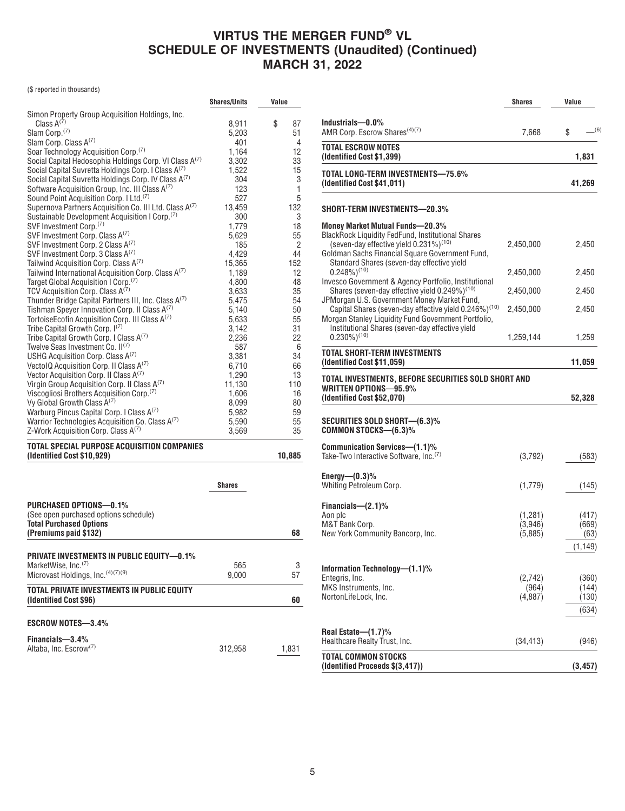|                                                                      | <b>Shares/Units</b> | Value          |
|----------------------------------------------------------------------|---------------------|----------------|
| Simon Property Group Acquisition Holdings, Inc.                      |                     |                |
| Class $A^{(7)}$                                                      | 8,911               | \$<br>87       |
| Slam Corp. <sup>(7)</sup>                                            | 5,203               | 51             |
| Slam Corp. Class A(7)                                                | 401                 | $\overline{4}$ |
| Soar Technology Acquisition Corp. <sup>(7)</sup>                     | 1,164               | 12             |
| Social Capital Hedosophia Holdings Corp. VI Class A(7)               | 3,302               | 33             |
| Social Capital Suvretta Holdings Corp. I Class A <sup>(7)</sup>      | 1,522               | 15             |
| Social Capital Suvretta Holdings Corp. IV Class A <sup>(7)</sup>     | 304                 | 3              |
| Software Acquisition Group, Inc. III Class A(1)                      | 123                 | 1              |
| Sound Point Acquisition Corp. I Ltd. <sup>(7)</sup>                  | 527                 | 5              |
| Supernova Partners Acquisition Co. III Ltd. Class A <sup>(7)</sup>   | 13,459              | 132            |
| Sustainable Development Acquisition I Corp. <sup>(7)</sup>           | 300                 | 3              |
| SVF Investment Corp. <sup>(7)</sup>                                  | 1,779               | 18             |
| SVF Investment Corp. Class A <sup>(7)</sup>                          | 5,629               | 55             |
| SVF Investment Corp. 2 Class A <sup>(7)</sup>                        | 185                 | 2              |
| SVF Investment Corp. 3 Class A <sup>(7)</sup>                        | 4,429               | 44             |
| Tailwind Acquisition Corp. Class A(7)                                | 15,365              | 152            |
| Tailwind International Acquisition Corp. Class A(7)                  | 1,189               | 12             |
| Target Global Acquisition I Corp. <sup>(7)</sup>                     | 4,800               | 48             |
| TCV Acquisition Corp. Class $A^{(7)}$                                | 3,633               | 35             |
| Thunder Bridge Capital Partners III, Inc. Class A(7)                 | 5,475               | 54             |
| Tishman Speyer Innovation Corp. II Class A <sup>(7)</sup>            | 5,140               | 50             |
| TortoiseEcofin Acquisition Corp. III Class A <sup>(7)</sup>          | 5,633               | 55             |
| Tribe Capital Growth Corp. I <sup>(7)</sup>                          | 3,142               | 31             |
| Tribe Capital Growth Corp. I Class A <sup>(7)</sup>                  | 2,236               | 22             |
| Twelve Seas Investment Co. II <sup>(7)</sup>                         | 587                 | 6              |
| USHG Acquisition Corp. Class $A^{(7)}$                               | 3,381               | 34             |
| Vectol Q Acquisition Corp. II Class $A^{(7)}$                        | 6,710               | 66             |
| Vector Acquisition Corp. II Class A(1)                               | 1,290               | 13             |
| Virgin Group Acquisition Corp. II Class A(7)                         | 11,130              | 110            |
| Viscogliosi Brothers Acquisition Corp. <sup>(7)</sup>                | 1,606               | 16             |
| Vy Global Growth Class A(7)                                          | 8,099               | 80             |
| Warburg Pincus Capital Corp. I Class A(1)                            | 5,982               | 59             |
| Warrior Technologies Acquisition Co. Class $A^{(7)}$                 | 5,590               | 55             |
| Z-Work Acquisition Corp. Class A(7)                                  | 3,569               | 35             |
| TOTAL SPECIAL PURPOSE ACQUISITION COMPANIES                          |                     |                |
| (Identified Cost \$10,929)                                           |                     | 10,885         |
|                                                                      |                     |                |
|                                                                      | <b>Shares</b>       |                |
| PURCHASED OPTIONS-0.1%                                               |                     |                |
| (See open purchased options schedule)                                |                     |                |
| <b>Total Purchased Options</b>                                       |                     |                |
| (Premiums paid \$132)                                                |                     | 68             |
|                                                                      |                     |                |
| PRIVATE INVESTMENTS IN PUBLIC EQUITY—0.1%                            |                     |                |
| MarketWise, Inc. $\mathcal{P}$                                       | 565                 | 3              |
| Microvast Holdings, Inc. (4)(7)(9)                                   | 9,000               | 57             |
|                                                                      |                     |                |
| TOTAL PRIVATE INVESTMENTS IN PUBLIC EQUITY<br>(Identified Cost \$96) |                     | 60             |
| <b>ESCROW NOTES-3.4%</b>                                             |                     |                |
|                                                                      |                     |                |
| Financials-3.4%                                                      |                     |                |
| Altaba, Inc. Escrow <sup>(7)</sup>                                   | 312,958             | 1,831          |
|                                                                      |                     |                |

|                                                                                                                                                                                                                                                        | Shares                        | Value                              |
|--------------------------------------------------------------------------------------------------------------------------------------------------------------------------------------------------------------------------------------------------------|-------------------------------|------------------------------------|
| Industrials-0.0%<br>AMR Corp. Escrow Shares <sup>(4)(7)</sup>                                                                                                                                                                                          | 7,668                         | _(6)<br>S                          |
| TOTAL ESCROW NOTES<br>(Identified Cost \$1,399)                                                                                                                                                                                                        |                               | 1,831                              |
| TOTAL LONG-TERM INVESTMENTS—75.6%<br>(Identified Cost \$41,011)                                                                                                                                                                                        |                               | 41,269                             |
| SHORT-TERM INVESTMENTS—20.3%                                                                                                                                                                                                                           |                               |                                    |
| Money Market Mutual Funds—20.3%<br><b>BlackRock Liquidity FedFund, Institutional Shares</b><br>(seven-day effective yield $0.231\%$ ) <sup>(10)</sup><br>Goldman Sachs Financial Square Government Fund,<br>Standard Shares (seven-day effective yield | 2,450,000                     | 2,450                              |
| $0.248\%)^{(10)}$                                                                                                                                                                                                                                      | 2,450,000                     | 2,450                              |
| Invesco Government & Agency Portfolio, Institutional<br>Shares (seven-day effective yield 0.249%) <sup>(10)</sup>                                                                                                                                      | 2,450,000                     | 2,450                              |
| JPMorgan U.S. Government Money Market Fund,<br>Capital Shares (seven-day effective yield 0.246%) <sup>(10)</sup><br>Morgan Stanley Liquidity Fund Government Portfolio,                                                                                | 2,450,000                     | 2,450                              |
| Institutional Shares (seven-day effective yield<br>$0.230\%$ <sup>(10)</sup>                                                                                                                                                                           | 1,259,144                     | 1,259                              |
| TOTAL SHORT-TERM INVESTMENTS<br>(Identified Cost \$11,059)                                                                                                                                                                                             |                               | 11,059                             |
| TOTAL INVESTMENTS, BEFORE SECURITIES SOLD SHORT AND                                                                                                                                                                                                    |                               |                                    |
| WRITTEN OPTIONS-95.9%<br>(Identified Cost \$52,070)                                                                                                                                                                                                    |                               | 52,328                             |
| SECURITIES SOLD SHORT—(6.3)%<br>COMMON STOCKS—(6.3)%                                                                                                                                                                                                   |                               |                                    |
| Communication Services—(1.1)%<br>Take-Two Interactive Software, Inc.(7)                                                                                                                                                                                | (3,792)                       | (583)                              |
| Energy— $(0.3)$ %<br>Whiting Petroleum Corp.                                                                                                                                                                                                           | (1,779)                       | (145)                              |
| Financials— $(2.1)$ %<br>Aon plc<br>M&T Bank Corp.<br>New York Community Bancorp, Inc.                                                                                                                                                                 | (1,281)<br>(3,946)<br>(5,885) | (417)<br>(669)<br>(63)<br>(1, 149) |
| Information Technology-(1.1)%<br>Entegris, Inc.<br>MKS Instruments. Inc.<br>NortonLifeLock, Inc.                                                                                                                                                       | (2,742)<br>(964)<br>(4,887)   | (360)<br>(144)<br>(130)<br>(634)   |
| Real Estate-(1.7)%<br>Healthcare Realty Trust, Inc.                                                                                                                                                                                                    | (34, 413)                     | (946)                              |
| TOTAL COMMON STOCKS<br>(Identified Proceeds \$(3,417))                                                                                                                                                                                                 |                               | (3, 457)                           |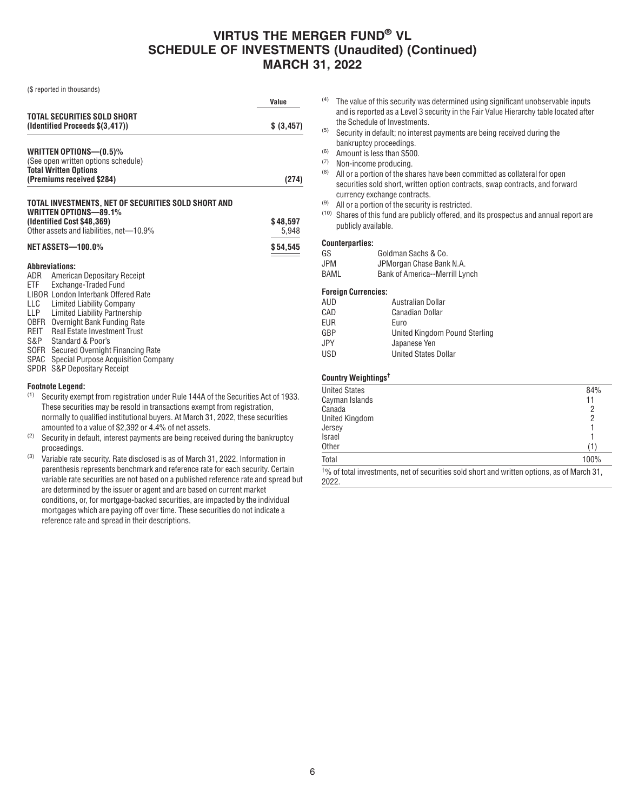(\$ reported in thousands)

|                                                                                                   | Value       |
|---------------------------------------------------------------------------------------------------|-------------|
| TOTAL SECURITIES SOLD SHORT<br>(Identified Proceeds \$(3,417))                                    | \$ (3, 457) |
| WRITTEN OPTIONS- $(0.5)$ %<br>(See open written options schedule)<br><b>Total Written Options</b> |             |
| (Premiums received \$284)                                                                         | (274)       |
| TOTAL INVESTMENTS. NET OF SECURITIES SOLD SHORT AND<br>WRITTEN OPTIONS-89.1%                      |             |

| (Identified Cost \$48,369)              | \$48.597 |
|-----------------------------------------|----------|
| Other assets and liabilities, net-10.9% | 5.948    |
| NET ASSETS-100.0%                       | \$54.545 |

#### **Abbreviations:**

| American Depositary Receipt              |
|------------------------------------------|
| Exchange-Traded Fund                     |
| LIBOR London Interbank Offered Rate      |
| Limited Liability Company                |
| Limited Liability Partnership            |
| OBFR Overnight Bank Funding Rate         |
| Real Estate Investment Trust             |
| Standard & Poor's                        |
| SOFR Secured Overnight Financing Rate    |
| SPAC Special Purpose Acquisition Company |
| SPDR S&P Depositary Receipt              |
|                                          |
|                                          |

# **Footnote Legend:**<br>(1) Security exem

- Security exempt from registration under Rule 144A of the Securities Act of 1933. These securities may be resold in transactions exempt from registration, normally to qualified institutional buyers. At March 31, 2022, these securities amounted to a value of \$2,392 or 4.4% of net assets.
- $(2)$  Security in default, interest payments are being received during the bankruptcy proceedings.
- $(3)$  Variable rate security. Rate disclosed is as of March 31, 2022. Information in parenthesis represents benchmark and reference rate for each security. Certain variable rate securities are not based on a published reference rate and spread but are determined by the issuer or agent and are based on current market conditions, or, for mortgage-backed securities, are impacted by the individual mortgages which are paying off over time. These securities do not indicate a reference rate and spread in their descriptions.
- (4) The value of this security was determined using significant unobservable inputs and is reported as a Level 3 security in the Fair Value Hierarchy table located after the Schedule of Investments.
- (5) Security in default; no interest payments are being received during the bankruptcy proceedings.
- (6) Amount is less than \$500.
- (7) Non-income producing.
- $(8)$  All or a portion of the shares have been committed as collateral for open securities sold short, written option contracts, swap contracts, and forward currency exchange contracts.
- (9) All or a portion of the security is restricted.
- (10) Shares of this fund are publicly offered, and its prospectus and annual report are publicly available.

#### **Counterparties:**

| GS   | Goldman Sachs & Co.            |
|------|--------------------------------|
| JPM  | JPMorgan Chase Bank N.A.       |
| BAML | Bank of America--Merrill Lynch |

#### **Foreign Currencies:**

| Australian Dollar             |
|-------------------------------|
| <b>Canadian Dollar</b>        |
| Euro                          |
| United Kingdom Pound Sterling |
| Japanese Yen                  |
| <b>United States Dollar</b>   |
|                               |

#### **Country Weightings†**

| <b>United States</b> | 84%  |
|----------------------|------|
| Cayman Islands       | 11   |
| Canada               | 2    |
| United Kingdom       | 2    |
| Jersey               |      |
| Israel               |      |
| <b>Other</b>         | (1)  |
| Total                | 100% |
|                      |      |

† % of total investments, net of securities sold short and written options, as of March 31, 2022.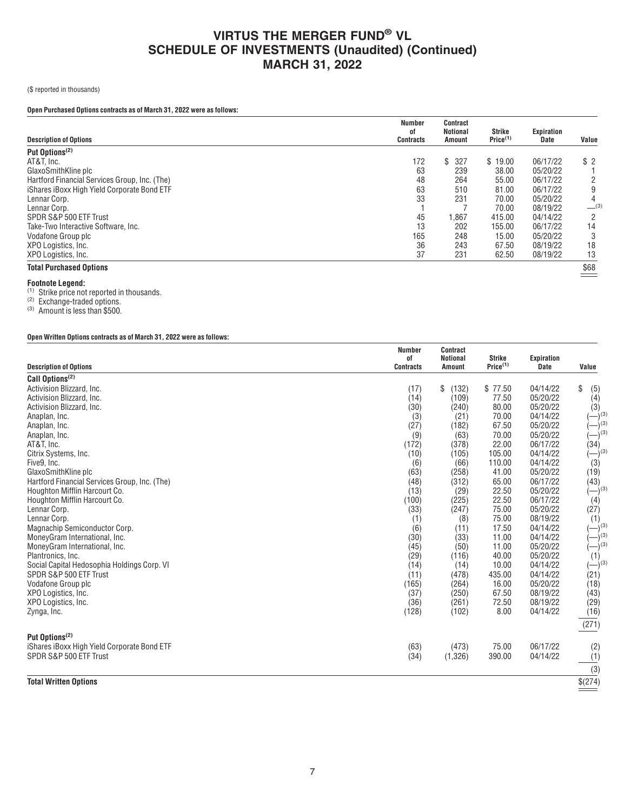### (\$ reported in thousands)

### **Open Purchased Options contracts as of March 31, 2022 were as follows:**

| <b>Description of Options</b>                 | Number<br>οf<br>Contracts | Contract<br>Notional<br><b>Amount</b> | Strike<br>Price <sup>(1)</sup> | Expiration<br><b>Date</b> | Value          |
|-----------------------------------------------|---------------------------|---------------------------------------|--------------------------------|---------------------------|----------------|
| Put Options <sup>(2)</sup>                    |                           |                                       |                                |                           |                |
| AT&T. Inc.                                    | 172                       | S<br>327                              | \$19.00                        | 06/17/22                  | \$2            |
| GlaxoSmithKline plc                           | 63                        | 239                                   | 38.00                          | 05/20/22                  |                |
| Hartford Financial Services Group, Inc. (The) | 48                        | 264                                   | 55.00                          | 06/17/22                  |                |
| iShares iBoxx High Yield Corporate Bond ETF   | 63                        | 510                                   | 81.00                          | 06/17/22                  | 9              |
| Lennar Corp.                                  | 33                        | 231                                   | 70.00                          | 05/20/22                  | 4              |
| Lennar Corp.                                  |                           |                                       | 70.00                          | 08/19/22                  | $-^{(3)}$      |
| SPDR S&P 500 ETF Trust                        | 45                        | 1,867                                 | 415.00                         | 04/14/22                  | $\overline{2}$ |
| Take-Two Interactive Software, Inc.           | 13                        | 202                                   | 155.00                         | 06/17/22                  | 14             |
| Vodafone Group plc                            | 165                       | 248                                   | 15.00                          | 05/20/22                  |                |
| XPO Logistics, Inc.                           | 36                        | 243                                   | 67.50                          | 08/19/22                  | 18             |
| XPO Logistics, Inc.                           | 37                        | 231                                   | 62.50                          | 08/19/22                  | 13             |
| <b>Total Purchased Options</b>                |                           |                                       |                                |                           | \$68           |

**Footnote Legend:**<br><sup>(1)</sup> Strike price not reported in thousands.

(2) Exchange-traded options.

(3) Amount is less than \$500.

### **Open Written Options contracts as of March 31, 2022 were as follows:**

|                                               | <b>Number</b><br>οf | <b>Contract</b><br>Notional | <b>Strike</b>        | Expiration           |                    |
|-----------------------------------------------|---------------------|-----------------------------|----------------------|----------------------|--------------------|
| <b>Description of Options</b>                 | <b>Contracts</b>    | <b>Amount</b>               | Price <sup>(1)</sup> | <b>Date</b>          | Value              |
| Call Options <sup>(2)</sup>                   |                     |                             |                      |                      |                    |
| Activision Blizzard, Inc.                     | (17)                | \$<br>(132)                 | \$77.50              | 04/14/22             | \$<br>(5)          |
| Activision Blizzard, Inc.                     | (14)                | (109)                       | 77.50                | 05/20/22             | (4)                |
| Activision Blizzard, Inc.                     | (30)                | (240)                       | 80.00                | 05/20/22             | (3)                |
| Anaplan, Inc.                                 | (3)                 | (21)                        | 70.00                | 04/14/22             | $ )^{(3)}$         |
| Anaplan, Inc.                                 | (27)                | (182)                       | 67.50                | 05/20/22             | $-$ <sup>(3)</sup> |
| Anaplan, Inc.                                 | (9)                 | (63)                        | 70.00                | 05/20/22             | $-$ <sup>(3)</sup> |
| AT&T, Inc.                                    | (172)               | (378)                       | 22.00                | 06/17/22             | (34)               |
| Citrix Systems, Inc.                          | (10)                | (105)                       | 105.00               | 04/14/22             | $(-)^{(3)}$        |
| Five9, Inc.                                   | (6)                 | (66)                        | 110.00               | 04/14/22             | (3)                |
| GlaxoSmithKline plc                           | (63)                | (258)                       | 41.00                | 05/20/22             | (19)               |
| Hartford Financial Services Group, Inc. (The) | (48)                | (312)                       | 65.00                | 06/17/22             | (43)               |
| Houghton Mifflin Harcourt Co.                 | (13)                | (29)                        | 22.50                | 05/20/22             | $(-)^{(3)}$        |
| Houghton Mifflin Harcourt Co.                 | (100)               | (225)                       | 22.50                | 06/17/22             | (4)                |
| Lennar Corp.                                  | (33)                | (247)                       | 75.00                | 05/20/22             | (27)               |
| Lennar Corp.                                  | (1)                 | (8)                         | 75.00                | 08/19/22             | (1)                |
| Magnachip Semiconductor Corp.                 | (6)                 | (11)                        | 17.50                | 04/14/22             | $(-)^{(3)}$        |
| MoneyGram International, Inc.                 | (30)                | (33)                        | 11.00                | 04/14/22             | $-$ <sup>(3)</sup> |
| MoneyGram International, Inc.                 | (45)                | (50)                        | 11.00                | 05/20/22             | $(-)^{(3)}$        |
| Plantronics, Inc.                             | (29)                | (116)                       | 40.00                | 05/20/22             | (1)                |
| Social Capital Hedosophia Holdings Corp. VI   | (14)                | (14)                        | 10.00                | 04/14/22             | $(-)^{(3)}$        |
| SPDR S&P 500 ETF Trust                        | (11)                | (478)                       | 435.00               | 04/14/22             | (21)               |
| Vodafone Group plc                            | (165)               | (264)                       | 16.00<br>67.50       | 05/20/22<br>08/19/22 | (18)               |
| XPO Logistics, Inc.                           | (37)<br>(36)        | (250)<br>(261)              | 72.50                | 08/19/22             | (43)               |
| XPO Logistics, Inc.                           | (128)               | (102)                       | 8.00                 | 04/14/22             | (29)               |
| Zynga, Inc.                                   |                     |                             |                      |                      | (16)               |
|                                               |                     |                             |                      |                      | (271)              |
| Put Options <sup>(2)</sup>                    |                     |                             |                      |                      |                    |
| iShares iBoxx High Yield Corporate Bond ETF   | (63)                | (473)                       | 75.00                | 06/17/22             | (2)                |
| SPDR S&P 500 ETF Trust                        | (34)                | (1, 326)                    | 390.00               | 04/14/22             | (1)                |
|                                               |                     |                             |                      |                      | (3)                |
|                                               |                     |                             |                      |                      |                    |
| <b>Total Written Options</b>                  |                     |                             |                      |                      | \$(274)            |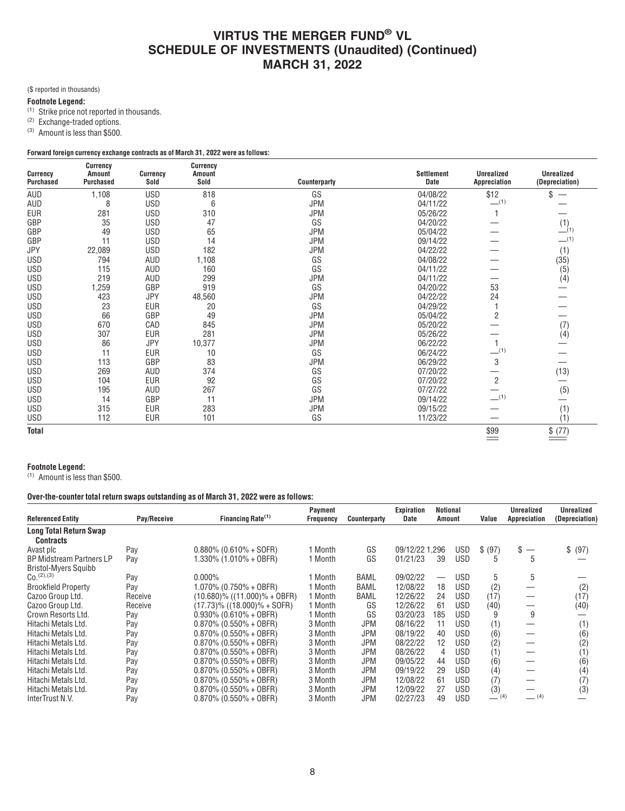(\$ reported in thousands)

### **Footnote Legend:**

(1) Strike price not reported in thousands.

<sup>(2)</sup> Exchange-traded options.

(3) Amount is less than \$500.

### **Forward foreign currency exchange contracts as of March 31, 2022 were as follows:**

|                              | <b>Currency</b>                   |                         | <b>Currency</b>       |              |                    |                                   |                                     |
|------------------------------|-----------------------------------|-------------------------|-----------------------|--------------|--------------------|-----------------------------------|-------------------------------------|
| Currency<br><b>Purchased</b> | <b>Amount</b><br><b>Purchased</b> | <b>Currency</b><br>Sold | <b>Amount</b><br>Sold | Counterparty | Settlement<br>Date | <b>Unrealized</b><br>Appreciation | <b>Unrealized</b><br>(Depreciation) |
| AUD                          |                                   | <b>USD</b>              | 818                   | GS           |                    | \$12                              | \$                                  |
|                              | 1,108                             |                         |                       |              | 04/08/22           | $-$ (1)                           |                                     |
| AUD                          | 8                                 | <b>USD</b>              | 6                     | JPM          | 04/11/22           |                                   |                                     |
| <b>EUR</b>                   | 281                               | <b>USD</b>              | 310                   | <b>JPM</b>   | 05/26/22           |                                   |                                     |
| GBP                          | 35                                | <b>USD</b>              | 47                    | GS           | 04/20/22           |                                   | (1)<br>(1)                          |
| GBP                          | 49                                | <b>USD</b>              | 65                    | <b>JPM</b>   | 05/04/22           |                                   |                                     |
| GBP                          | 11                                | <b>USD</b>              | 14                    | <b>JPM</b>   | 09/14/22           |                                   | $-$ (1)                             |
| <b>JPY</b>                   | 22,089                            | <b>USD</b>              | 182                   | <b>JPM</b>   | 04/22/22           |                                   | (1)                                 |
| <b>USD</b>                   | 794                               | AUD                     | 1,108                 | GS           | 04/08/22           |                                   | (35)                                |
| <b>USD</b>                   | 115                               | AUD                     | 160                   | GS           | 04/11/22           |                                   | (5)                                 |
| <b>USD</b>                   | 219                               | AUD                     | 299                   | <b>JPM</b>   | 04/11/22           |                                   | (4)                                 |
| <b>USD</b>                   | 1,259                             | GBP                     | 919                   | GS           | 04/20/22           | 53                                |                                     |
| <b>USD</b>                   | 423                               | JPY                     | 48,560                | <b>JPM</b>   | 04/22/22           | 24                                |                                     |
| <b>USD</b>                   | 23                                | <b>EUR</b>              | 20                    | GS           | 04/29/22           |                                   |                                     |
| <b>USD</b>                   | 66                                | GBP                     | 49                    | JPM          | 05/04/22           | $\overline{c}$                    |                                     |
| <b>USD</b>                   | 670                               | CAD                     | 845                   | <b>JPM</b>   | 05/20/22           |                                   | (7)                                 |
| <b>USD</b>                   | 307                               | <b>EUR</b>              | 281                   | <b>JPM</b>   | 05/26/22           |                                   | (4)                                 |
| <b>USD</b>                   | 86                                | <b>JPY</b>              | 10,377                | <b>JPM</b>   | 06/22/22           |                                   |                                     |
| <b>USD</b>                   | 11                                | <b>EUR</b>              | 10                    | GS           | 06/24/22           | $-$ (1)                           |                                     |
| <b>USD</b>                   | 113                               | GBP                     | 83                    | <b>JPM</b>   | 06/29/22           | 3                                 |                                     |
| <b>USD</b>                   | 269                               | AUD                     | 374                   | GS           | 07/20/22           |                                   | (13)                                |
| <b>USD</b>                   | 104                               | <b>EUR</b>              | 92                    | GS           | 07/20/22           | $\overline{2}$                    |                                     |
| <b>USD</b>                   | 195                               | AUD                     | 267                   | GS           | 07/27/22           |                                   | (5)                                 |
| <b>USD</b>                   | 14                                | GBP                     | 11                    | <b>JPM</b>   | 09/14/22           | $-$ (1)                           |                                     |
| <b>USD</b>                   | 315                               | <b>EUR</b>              | 283                   | <b>JPM</b>   | 09/15/22           |                                   | (1)                                 |
| <b>USD</b>                   | 112                               | <b>EUR</b>              | 101                   | GS           | 11/23/22           |                                   | (1)                                 |
| <b>Total</b>                 |                                   |                         |                       |              |                    | \$99                              | \$ (77)                             |

#### **Footnote Legend:**

(1) Amount is less than \$500.

#### **Over-the-counter total return swaps outstanding as of March 31, 2022 were as follows:**

| <b>Referenced Entity</b>                                       | Pay/Receive | Financing Rate <sup>(1)</sup>      | Payment<br><b>Frequency</b> | Counterparty | Expiration<br>Date | Notional<br>Amount |            | Value   | Unrealized<br>Appreciation | Unrealized<br>(Depreciation) |
|----------------------------------------------------------------|-------------|------------------------------------|-----------------------------|--------------|--------------------|--------------------|------------|---------|----------------------------|------------------------------|
| <b>Long Total Return Swap</b><br><b>Contracts</b>              |             |                                    |                             |              |                    |                    |            |         |                            |                              |
| Avast plc                                                      | Pay         | $0.880\%$ (0.610% + SOFR)          | 1 Month                     | GS           | 09/12/22 1,296     |                    | <b>USD</b> | \$ (97) | \$                         | \$ (97)                      |
| <b>BP Midstream Partners LP</b><br><b>Bristol-Myers Squibb</b> | Pay         | 1.330% (1.010% + OBFR)             | 1 Month                     | GS           | 01/21/23           | 39                 | <b>USD</b> | h       | 5                          |                              |
| $C_0$ <sup>(2),(3)</sup>                                       | Pay         | $0.000\%$                          | 1 Month                     | BAML         | 09/02/22           |                    | USD        | 5       | 5                          |                              |
| <b>Brookfield Property</b>                                     | Pay         | $1.070\%$ (0.750% + OBFR)          | 1 Month                     | BAML         | 12/08/22           | 18                 | USD        | (2)     |                            | (2)                          |
| Cazoo Group Ltd.                                               | Receive     | $(10.680)\%$ $((11.000)\% + 0BFR)$ | 1 Month                     | BAML         | 12/26/22           | 24                 | <b>USD</b> | (17)    |                            | (17)                         |
| Cazoo Group Ltd.                                               | Receive     | $(17.73)$ % $((18.000)$ % + SOFR)  | 1 Month                     | GS           | 12/26/22           | 61                 | <b>USD</b> | (40)    | —                          | (40)                         |
| Crown Resorts Ltd.                                             | Pay         | $0.930\%$ (0.610% + OBFR)          | 1 Month                     | GS           | 03/20/23           | 185                | <b>USD</b> |         | 9                          |                              |
| Hitachi Metals Ltd.                                            | Pay         | $0.870\%$ (0.550% + OBFR)          | 3 Month                     | <b>JPM</b>   | 08/16/22           | 11                 | <b>USD</b> | (1)     |                            | (1)                          |
| Hitachi Metals Ltd.                                            | Pay         | $0.870\%$ (0.550% + OBFR)          | 3 Month                     | JPM          | 08/19/22           | 40                 | <b>USD</b> | (6)     |                            | (6)                          |
| Hitachi Metals Ltd.                                            | Pay         | $0.870\%$ (0.550% + OBFR)          | 3 Month                     | <b>JPM</b>   | 08/22/22           | 12                 | <b>USD</b> | (2)     |                            | (2)                          |
| Hitachi Metals Ltd.                                            | Pay         | $0.870\%$ (0.550% + OBFR)          | 3 Month                     | <b>JPM</b>   | 08/26/22           | 4                  | <b>USD</b> | (1)     |                            | (1)                          |
| Hitachi Metals Ltd.                                            | Pay         | $0.870\%$ (0.550% + OBFR)          | 3 Month                     | <b>JPM</b>   | 09/05/22           | 44                 | <b>USD</b> | (6)     |                            | (6)                          |
| Hitachi Metals Ltd.                                            | Pay         | $0.870\%$ (0.550% + OBFR)          | 3 Month                     | JPM          | 09/19/22           | 29                 | <b>USD</b> | (4)     |                            | (4)                          |
| Hitachi Metals Ltd.                                            | Pay         | $0.870\%$ (0.550% + OBFR)          | 3 Month                     | JPM          | 12/08/22           | 61                 | <b>USD</b> | (7)     |                            | (7)                          |
| Hitachi Metals Ltd.                                            | Pay         | $0.870\%$ (0.550% + OBFR)          | 3 Month                     | <b>JPM</b>   | 12/09/22           | 27                 | <b>USD</b> | (3)     |                            | (3)                          |
| InterTrust N.V.                                                | Pay         | $0.870\%$ (0.550% + OBFR)          | 3 Month                     | JPM          | 02/27/23           | 49                 | <b>USD</b> | $-$ (4) | $-$ (4)                    |                              |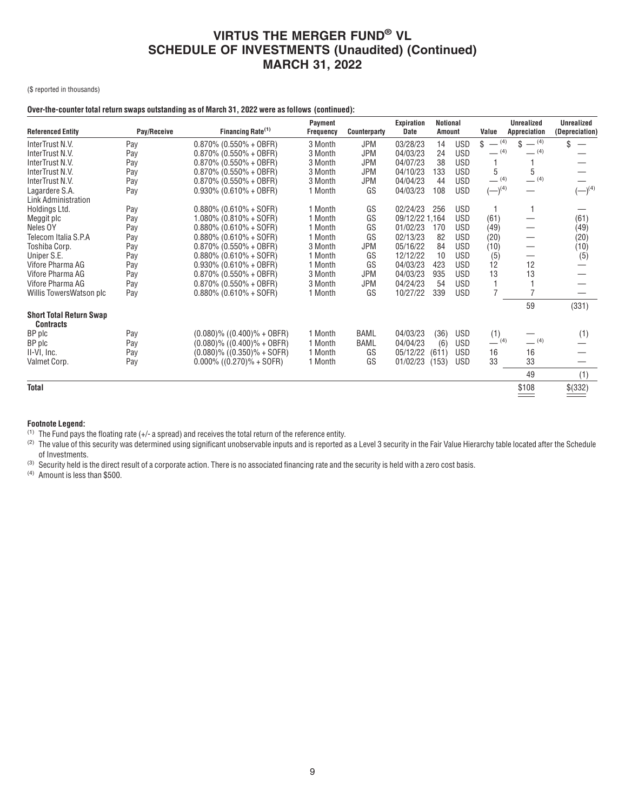(\$ reported in thousands)

### **Over-the-counter total return swaps outstanding as of March 31, 2022 were as follows (continued):**

| <b>Referenced Entity</b>       | Pay/Receive | Financing Rate <sup>(1)</sup>    | Payment<br><b>Frequency</b> | Counterparty | <b>Expiration</b><br>Date | <b>Notional</b><br>Amount |            | Value          | <b>Unrealized</b><br>Appreciation | <b>Unrealized</b><br>(Depreciation) |
|--------------------------------|-------------|----------------------------------|-----------------------------|--------------|---------------------------|---------------------------|------------|----------------|-----------------------------------|-------------------------------------|
| InterTrust N.V.                | Pay         | $0.870\%$ (0.550% + OBFR)        | 3 Month                     | <b>JPM</b>   | 03/28/23                  | 14                        | USD        | $-$ (4)<br>\$  | $-$ (4)<br>\$                     | \$                                  |
| InterTrust N.V.                | Pay         | $0.870\%$ (0.550% + OBFR)        | 3 Month                     | <b>JPM</b>   | 04/03/23                  | 24                        | <b>USD</b> | $-$ (4)        | $-$ (4)                           |                                     |
| InterTrust N.V.                | Pay         | $0.870\%$ (0.550% + OBFR)        | 3 Month                     | <b>JPM</b>   | 04/07/23                  | 38                        | <b>USD</b> |                |                                   |                                     |
| InterTrust N.V.                | Pay         | $0.870\%$ (0.550% + OBFR)        | 3 Month                     | <b>JPM</b>   | 04/10/23                  | 133                       | <b>USD</b> | 5              | 5                                 |                                     |
| InterTrust N.V.                | Pay         | $0.870\%$ (0.550% + OBFR)        | 3 Month                     | <b>JPM</b>   | 04/04/23                  | 44                        | <b>USD</b> | $-$ (4)        | $-$ (4)                           |                                     |
| Lagardere S.A.                 | Pay         | $0.930\%$ (0.610% + OBFR)        | 1 Month                     | GS           | 04/03/23                  | 108                       | <b>USD</b> | $(-)^{(4)}$    |                                   | $(-)^{(4)}$                         |
| Link Administration            |             |                                  |                             |              |                           |                           |            |                |                                   |                                     |
| Holdings Ltd.                  | Pay         | $0.880\%$ (0.610% + SOFR)        | 1 Month                     | GS           | 02/24/23                  | 256                       | <b>USD</b> |                |                                   |                                     |
| Meggit plc                     | Pay         | $1.080\%$ (0.810% + SOFR)        | 1 Month                     | GS           | 09/12/22 1,164            |                           | <b>USD</b> | (61)           |                                   | (61)                                |
| Neles OY                       | Pay         | $0.880\%$ (0.610% + SOFR)        | 1 Month                     | GS           | 01/02/23                  | 170                       | <b>USD</b> | (49)           |                                   | (49)                                |
| Telecom Italia S.P.A           | Pay         | $0.880\%$ (0.610% + SOFR)        | 1 Month                     | GS           | 02/13/23                  | 82                        | <b>USD</b> | (20)           |                                   | (20)                                |
| Toshiba Corp.                  | Pay         | $0.870\%$ (0.550% + OBFR)        | 3 Month                     | <b>JPM</b>   | 05/16/22                  | 84                        | <b>USD</b> | (10)           |                                   | (10)                                |
| Uniper S.E.                    | Pay         | $0.880\%$ (0.610% + SOFR)        | 1 Month                     | GS           | 12/12/22                  | 10                        | <b>USD</b> | (5)            |                                   | (5)                                 |
| Vifore Pharma AG               | Pay         | $0.930\%$ (0.610% + OBFR)        | 1 Month                     | GS           | 04/03/23                  | 423                       | <b>USD</b> | 12             | 12                                |                                     |
| Vifore Pharma AG               | Pay         | $0.870\%$ (0.550% + OBFR)        | 3 Month                     | <b>JPM</b>   | 04/03/23                  | 935                       | <b>USD</b> | 13             | 13                                |                                     |
| Vifore Pharma AG               | Pay         | $0.870\%$ (0.550% + OBFR)        | 3 Month                     | <b>JPM</b>   | 04/24/23                  | 54                        | <b>USD</b> |                |                                   |                                     |
| Willis TowersWatson plc        | Pay         | $0.880\%$ (0.610% + SOFR)        | 1 Month                     | GS           | 10/27/22                  | 339                       | <b>USD</b> | $\overline{7}$ |                                   |                                     |
| <b>Short Total Return Swap</b> |             |                                  |                             |              |                           |                           |            |                | 59                                | (331)                               |
| <b>Contracts</b>               |             |                                  |                             |              |                           |                           |            |                |                                   |                                     |
| BP plc                         | Pay         | $(0.080)\%$ $((0.400)\% + 0BFR)$ | 1 Month                     | BAML         | 04/03/23                  | (36)                      | <b>USD</b> | (1)            |                                   | (1)                                 |
| BP plc                         | Pay         | $(0.080)$ % $((0.400)$ % + OBFR) | 1 Month                     | BAML         | 04/04/23                  | (6)                       | <b>USD</b> | (4)            | $-$ (4)                           |                                     |
| II-VI, Inc.                    | Pay         | $(0.080)$ % $((0.350)$ % + SOFR) | 1 Month                     | GS           | 05/12/22                  | (611)                     | <b>USD</b> | 16             | 16                                |                                     |
| Valmet Corp.                   | Pay         | $0.000\%$ ((0.270)% + SOFR)      | 1 Month                     | GS           | 01/02/23                  | (153)                     | <b>USD</b> | 33             | 33                                |                                     |
|                                |             |                                  |                             |              |                           |                           |            |                | 49                                | (1)                                 |
| <b>Total</b>                   |             |                                  |                             |              |                           |                           |            |                | \$108                             | \$(332)                             |

#### **Footnote Legend:**

(1) The Fund pays the floating rate (+/- a spread) and receives the total return of the reference entity.

(2) The value of this security was determined using significant unobservable inputs and is reported as a Level 3 security in the Fair Value Hierarchy table located after the Schedule of Investments.

<sup>(3)</sup> Security held is the direct result of a corporate action. There is no associated financing rate and the security is held with a zero cost basis.

(4) Amount is less than \$500.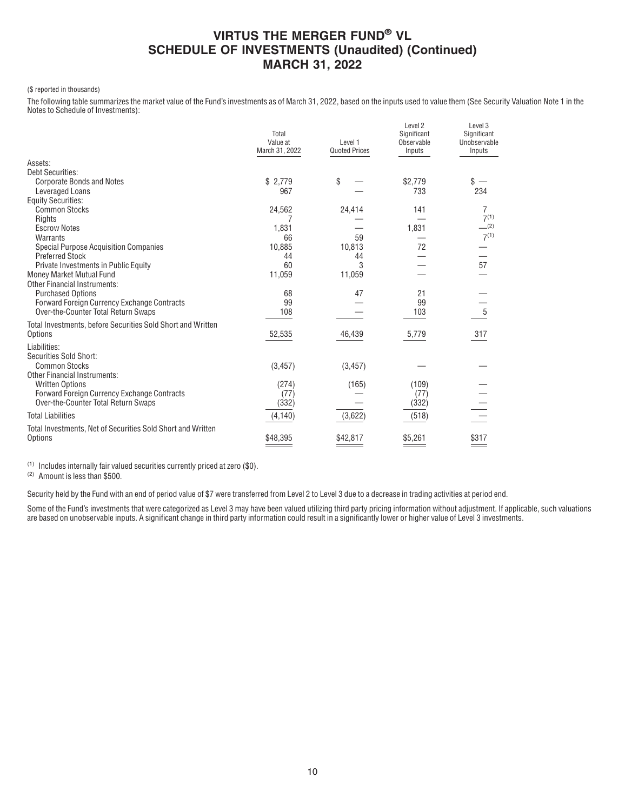#### (\$ reported in thousands)

The following table summarizes the market value of the Fund's investments as of March 31, 2022, based on the inputs used to value them (See Security Valuation Note 1 in the Notes to Schedule of Investments):

|                                                                       | Total<br>Value at<br>March 31, 2022 | Level 1<br><b>Quoted Prices</b> | Level 2<br>Significant<br>Observable<br>Inputs | Level 3<br>Significant<br>Unobservable<br>Inputs |
|-----------------------------------------------------------------------|-------------------------------------|---------------------------------|------------------------------------------------|--------------------------------------------------|
| Assets:                                                               |                                     |                                 |                                                |                                                  |
| Debt Securities:                                                      |                                     |                                 |                                                |                                                  |
| <b>Corporate Bonds and Notes</b>                                      | \$2.779                             | \$                              | \$2.779                                        | $s -$                                            |
| Leveraged Loans                                                       | 967                                 |                                 | 733                                            | 234                                              |
| <b>Equity Securities:</b>                                             |                                     |                                 |                                                |                                                  |
| <b>Common Stocks</b>                                                  | 24,562                              | 24,414                          | 141                                            | 7<br>$7^{(1)}$                                   |
| Rights<br><b>Escrow Notes</b>                                         | 1,831                               |                                 | 1,831                                          | (2)                                              |
| Warrants                                                              | 66                                  | 59                              |                                                | $7^{(1)}$                                        |
| <b>Special Purpose Acquisition Companies</b>                          | 10,885                              | 10,813                          | 72                                             |                                                  |
| <b>Preferred Stock</b>                                                | 44                                  | 44                              |                                                |                                                  |
| Private Investments in Public Equity                                  | 60                                  | 3                               |                                                | 57                                               |
| Money Market Mutual Fund                                              | 11,059                              | 11,059                          |                                                |                                                  |
| <b>Other Financial Instruments:</b>                                   |                                     |                                 |                                                |                                                  |
| <b>Purchased Options</b>                                              | 68                                  | 47                              | 21                                             |                                                  |
| Forward Foreign Currency Exchange Contracts                           | 99                                  |                                 | 99                                             |                                                  |
| Over-the-Counter Total Return Swaps                                   | 108                                 |                                 | 103                                            | $\overline{5}$                                   |
| Total Investments, before Securities Sold Short and Written           |                                     |                                 |                                                |                                                  |
| Options                                                               | 52,535                              | 46,439                          | 5,779                                          | 317                                              |
|                                                                       |                                     |                                 |                                                |                                                  |
| Liabilities:                                                          |                                     |                                 |                                                |                                                  |
| Securities Sold Short:                                                |                                     |                                 |                                                |                                                  |
| <b>Common Stocks</b>                                                  | (3, 457)                            | (3, 457)                        |                                                |                                                  |
| <b>Other Financial Instruments:</b>                                   |                                     |                                 |                                                |                                                  |
| <b>Written Options</b><br>Forward Foreign Currency Exchange Contracts | (274)                               | (165)                           | (109)                                          |                                                  |
| Over-the-Counter Total Return Swaps                                   | (77)<br>(332)                       |                                 | (77)                                           |                                                  |
|                                                                       |                                     |                                 | (332)                                          |                                                  |
| <b>Total Liabilities</b>                                              | (4, 140)                            | (3,622)                         | (518)                                          |                                                  |
| Total Investments, Net of Securities Sold Short and Written           |                                     |                                 |                                                |                                                  |
| Options                                                               | \$48,395                            | \$42,817                        | \$5,261                                        | \$317                                            |
|                                                                       |                                     |                                 |                                                |                                                  |

(1) Includes internally fair valued securities currently priced at zero (\$0).

(2) Amount is less than \$500.

Security held by the Fund with an end of period value of \$7 were transferred from Level 2 to Level 3 due to a decrease in trading activities at period end.

Some of the Fund's investments that were categorized as Level 3 may have been valued utilizing third party pricing information without adjustment. If applicable, such valuations are based on unobservable inputs. A significant change in third party information could result in a significantly lower or higher value of Level 3 investments.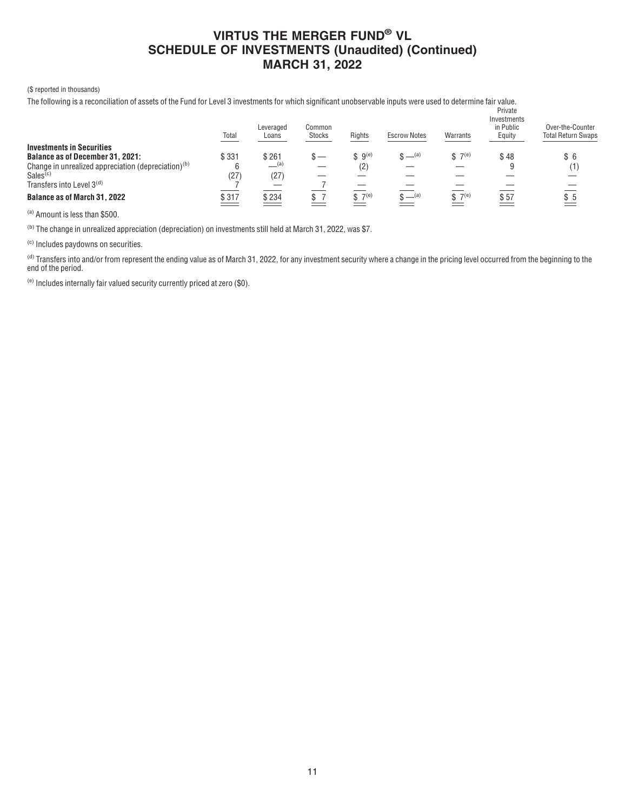### (\$ reported in thousands)

The following is a reconciliation of assets of the Fund for Level 3 investments for which significant unobservable inputs were used to determine fair value.

|                                                                 | Total            | Leveraged<br>Loans | Common<br><b>Stocks</b> | Rights             | <b>Escrow Notes</b> | Warrants    | Private<br>Investments<br>in Public<br>Equity | Over-the-Counter<br><b>Total Return Swaps</b> |
|-----------------------------------------------------------------|------------------|--------------------|-------------------------|--------------------|---------------------|-------------|-----------------------------------------------|-----------------------------------------------|
| <b>Investments in Securities</b>                                |                  |                    |                         |                    |                     |             |                                               |                                               |
| <b>Balance as of December 31, 2021:</b>                         | \$331            | \$261              |                         | \$9 <sup>(e)</sup> | $$ -(a)$            | $$7^{(e)}$$ | \$48                                          | \$6                                           |
| Change in unrealized appreciation (depreciation) <sup>(b)</sup> |                  | __(a)              |                         | (2)                |                     |             |                                               | (1)                                           |
| Sales <sup>(c)</sup>                                            | (27)             | (27)               |                         |                    |                     |             |                                               |                                               |
| Transfers into Level $3(d)$                                     |                  |                    |                         |                    |                     |             |                                               |                                               |
| <b>Balance as of March 31, 2022</b>                             | $\frac{$317}{2}$ | $\frac{$234}{2}$   |                         | \$7 <sup>(e)</sup> | $S = (a)$           | $$7^{(e)}$$ | \$57                                          | \$5                                           |

(a) Amount is less than \$500.

(b) The change in unrealized appreciation (depreciation) on investments still held at March 31, 2022, was \$7.

(c) Includes paydowns on securities.

(d) Transfers into and/or from represent the ending value as of March 31, 2022, for any investment security where a change in the pricing level occurred from the beginning to the end of the period.

(e) Includes internally fair valued security currently priced at zero (\$0).